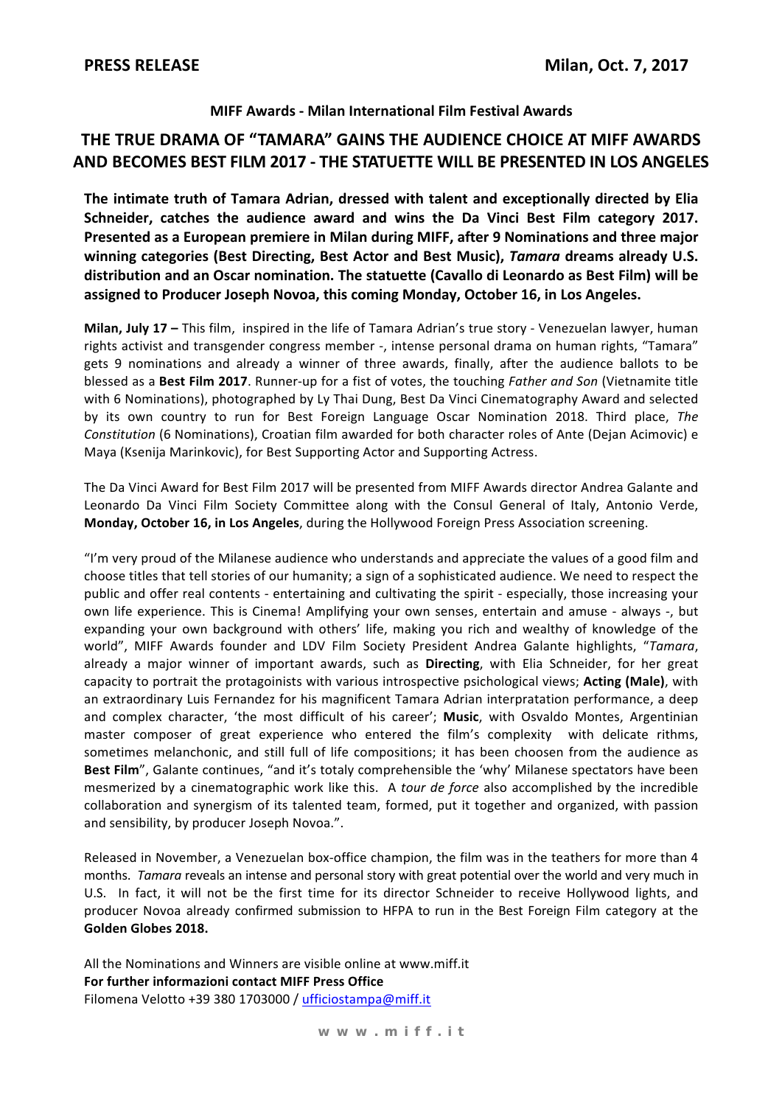#### MIFF Awards - Milan International Film Festival Awards

## THE TRUE DRAMA OF "TAMARA" GAINS THE AUDIENCE CHOICE AT MIFF AWARDS AND BECOMES BEST FILM 2017 - THE STATUETTE WILL BE PRESENTED IN LOS ANGELES

The intimate truth of Tamara Adrian, dressed with talent and exceptionally directed by Elia Schneider, catches the audience award and wins the Da Vinci Best Film category 2017. Presented as a European premiere in Milan during MIFF, after 9 Nominations and three major winning categories (Best Directing, Best Actor and Best Music), Tamara dreams already U.S. distribution and an Oscar nomination. The statuette (Cavallo di Leonardo as Best Film) will be assigned to Producer Joseph Novoa, this coming Monday, October 16, in Los Angeles.

Milan. July 17 - This film. inspired in the life of Tamara Adrian's true story - Venezuelan lawyer, human rights activist and transgender congress member -, intense personal drama on human rights, "Tamara" gets 9 nominations and already a winner of three awards, finally, after the audience ballots to be blessed as a Best Film 2017. Runner-up for a fist of votes, the touching Father and Son (Vietnamite title with 6 Nominations), photographed by Ly Thai Dung, Best Da Vinci Cinematography Award and selected by its own country to run for Best Foreign Language Oscar Nomination 2018. Third place, The Constitution (6 Nominations), Croatian film awarded for both character roles of Ante (Dejan Acimovic) e Maya (Ksenija Marinkovic), for Best Supporting Actor and Supporting Actress.

The Da Vinci Award for Best Film 2017 will be presented from MIFF Awards director Andrea Galante and Leonardo Da Vinci Film Society Committee along with the Consul General of Italy, Antonio Verde, Monday, October 16, in Los Angeles, during the Hollywood Foreign Press Association screening.

"I'm very proud of the Milanese audience who understands and appreciate the values of a good film and choose titles that tell stories of our humanity; a sign of a sophisticated audience. We need to respect the public and offer real contents - entertaining and cultivating the spirit - especially, those increasing your own life experience. This is Cinema! Amplifying your own senses, entertain and amuse - always -, but expanding your own background with others' life, making you rich and wealthy of knowledge of the world", MIFF Awards founder and LDV Film Society President Andrea Galante highlights, "Tamara, already a major winner of important awards, such as Directing, with Elia Schneider, for her great capacity to portrait the protagoinists with various introspective psichological views; Acting (Male), with an extraordinary Luis Fernandez for his magnificent Tamara Adrian interpratation performance, a deep and complex character, 'the most difficult of his career'; Music, with Osvaldo Montes, Argentinian master composer of great experience who entered the film's complexity with delicate rithms, sometimes melanchonic, and still full of life compositions; it has been choosen from the audience as Best Film", Galante continues, "and it's totaly comprehensible the 'why' Milanese spectators have been mesmerized by a cinematographic work like this. A tour de force also accomplished by the incredible collaboration and synergism of its talented team, formed, put it together and organized, with passion and sensibility, by producer Joseph Novoa.".

Released in November, a Venezuelan box-office champion, the film was in the teathers for more than 4 months. Tamara reveals an intense and personal story with great potential over the world and very much in U.S. In fact, it will not be the first time for its director Schneider to receive Hollywood lights, and producer Novoa already confirmed submission to HFPA to run in the Best Foreign Film category at the Golden Globes 2018.

All the Nominations and Winners are visible online at www.miff.it For further informazioni contact MIFF Press Office Filomena Velotto +39 380 1703000 / ufficiostampa@miff.it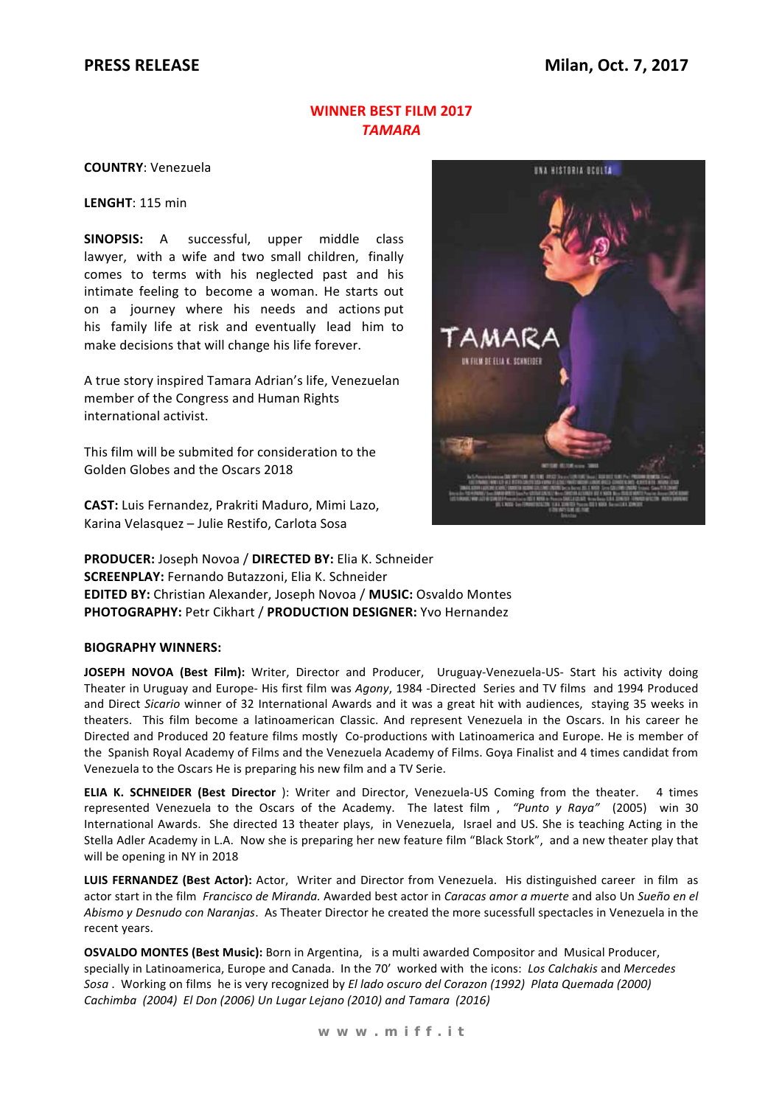#### **WINNER BEST FILM 2017 TAMARA**

**COUNTRY: Venezuela** 

LENGHT: 115 min

SINOPSIS: A successful, upper middle class lawyer, with a wife and two small children, finally comes to terms with his neglected past and his intimate feeling to become a woman. He starts out on a journey where his needs and actions put his family life at risk and eventually lead him to make decisions that will change his life forever.

A true story inspired Tamara Adrian's life, Venezuelan member of the Congress and Human Rights international activist.

This film will be submited for consideration to the Golden Globes and the Oscars 2018

CAST: Luis Fernandez, Prakriti Maduro, Mimi Lazo, Karina Velasquez - Julie Restifo, Carlota Sosa



PRODUCER: Joseph Novoa / DIRECTED BY: Elia K. Schneider **SCREENPLAY: Fernando Butazzoni, Elia K. Schneider** EDITED BY: Christian Alexander, Joseph Novoa / MUSIC: Osvaldo Montes **PHOTOGRAPHY: Petr Cikhart / PRODUCTION DESIGNER: Yvo Hernandez** 

#### **BIOGRAPHY WINNERS:**

JOSEPH NOVOA (Best Film): Writer, Director and Producer, Uruguay-Venezuela-US- Start his activity doing Theater in Uruguay and Europe- His first film was Agony, 1984 -Directed Series and TV films and 1994 Produced and Direct Sicario winner of 32 International Awards and it was a great hit with audiences. staving 35 weeks in theaters. This film become a latinoamerican Classic. And represent Venezuela in the Oscars. In his career he Directed and Produced 20 feature films mostly Co-productions with Latinoamerica and Europe. He is member of the Spanish Royal Academy of Films and the Venezuela Academy of Films. Goya Finalist and 4 times candidat from Venezuela to the Oscars He is preparing his new film and a TV Serie.

ELIA K. SCHNEIDER (Best Director): Writer and Director, Venezuela-US Coming from the theater. 4 times represented Venezuela to the Oscars of the Academy. The latest film, "Punto y Raya" (2005) win 30 International Awards. She directed 13 theater plays, in Venezuela, Israel and US. She is teaching Acting in the Stella Adler Academy in L.A. Now she is preparing her new feature film "Black Stork", and a new theater play that will be opening in NY in 2018

LUIS FERNANDEZ (Best Actor): Actor, Writer and Director from Venezuela. His distinguished career in film as actor start in the film Francisco de Miranda. Awarded best actor in Caracas amor a muerte and also Un Sueño en el Abismo y Desnudo con Naranjas. As Theater Director he created the more sucessfull spectacles in Venezuela in the recent years.

OSVALDO MONTES (Best Music): Born in Argentina, is a multi awarded Compositor and Musical Producer, specially in Latinoamerica, Europe and Canada. In the 70' worked with the icons: Los Calchakis and Mercedes Sosa. Working on films he is very recognized by El lado oscuro del Corazon (1992) Plata Quemada (2000) Cachimba (2004) El Don (2006) Un Lugar Lejano (2010) and Tamara (2016)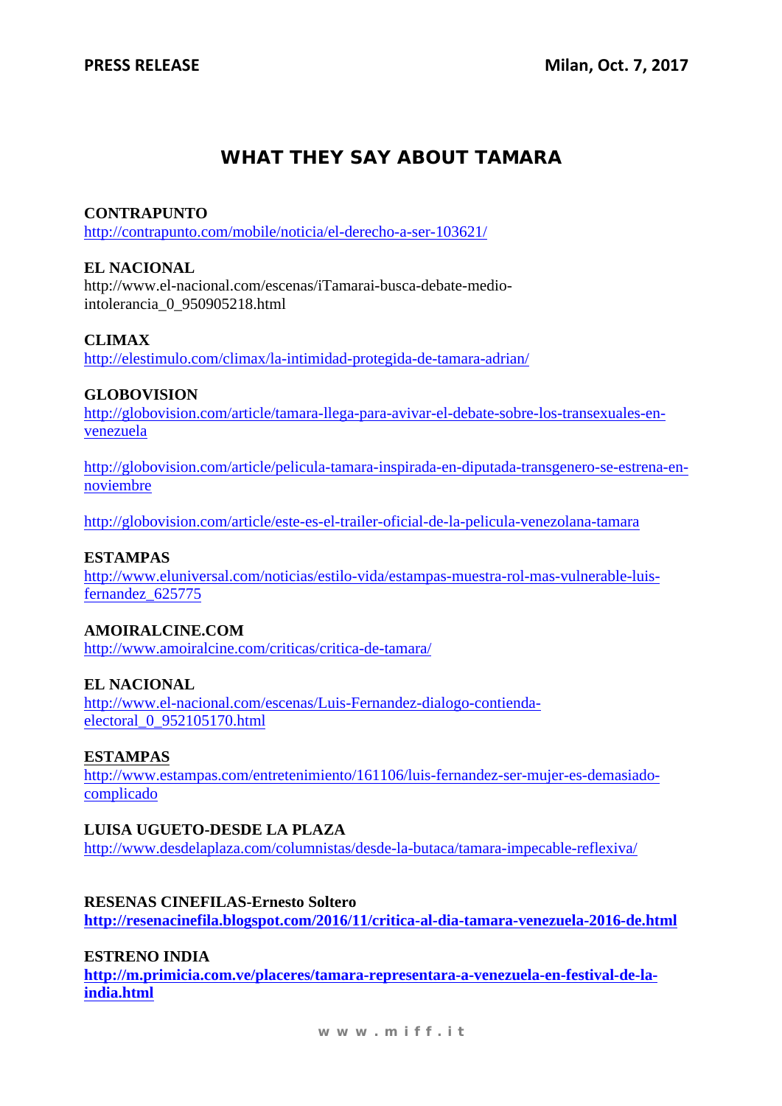# **WHAT THEY SAY ABOUT TAMARA**

## **CONTRAPUNTO**

http://contrapunto.com/mobile/noticia/el-derecho-a-ser-103621/

## **EL NACIONAL**

http://www.el-nacional.com/escenas/iTamarai-busca-debate-mediointolerancia\_0\_950905218.html

## **CLIMAX**

http://elestimulo.com/climax/la-intimidad-protegida-de-tamara-adrian/

## **GLOBOVISION**

http://globovision.com/article/tamara-llega-para-avivar-el-debate-sobre-los-transexuales-envenezuela

http://globovision.com/article/pelicula-tamara-inspirada-en-diputada-transgenero-se-estrena-ennoviembre

http://globovision.com/article/este-es-el-trailer-oficial-de-la-pelicula-venezolana-tamara

#### **ESTAMPAS**

http://www.eluniversal.com/noticias/estilo-vida/estampas-muestra-rol-mas-vulnerable-luisfernandez\_625775

#### **AMOIRALCINE.COM**

http://www.amoiralcine.com/criticas/critica-de-tamara/

## **EL NACIONAL**

http://www.el-nacional.com/escenas/Luis-Fernandez-dialogo-contiendaelectoral\_0\_952105170.html

#### **ESTAMPAS**

http://www.estampas.com/entretenimiento/161106/luis-fernandez-ser-mujer-es-demasiadocomplicado

## **LUISA UGUETO-DESDE LA PLAZA**

http://www.desdelaplaza.com/columnistas/desde-la-butaca/tamara-impecable-reflexiva/

#### **RESENAS CINEFILAS-Ernesto Soltero**

**http://resenacinefila.blogspot.com/2016/11/critica-al-dia-tamara-venezuela-2016-de.html** 

#### **ESTRENO INDIA**

**http://m.primicia.com.ve/placeres/tamara-representara-a-venezuela-en-festival-de-laindia.html**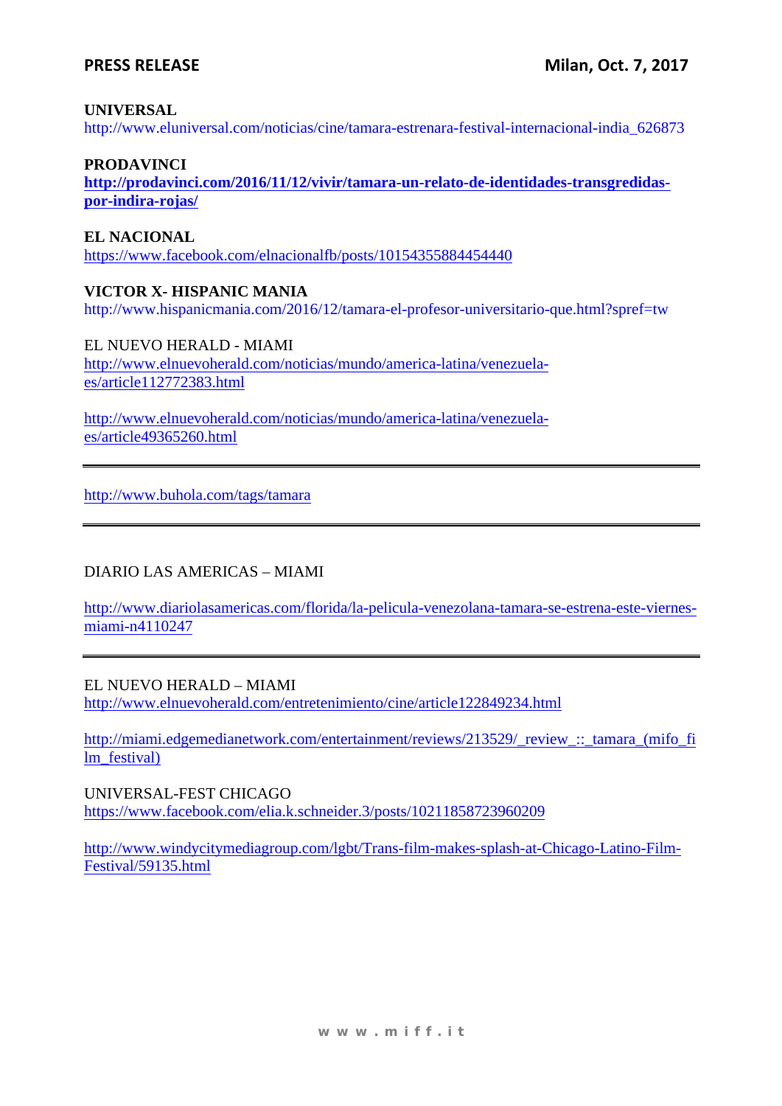#### **UNIVERSAL**

http://www.eluniversal.com/noticias/cine/tamara-estrenara-festival-internacional-india\_626873

## **PRODAVINCI**

**http://prodavinci.com/2016/11/12/vivir/tamara-un-relato-de-identidades-transgredidaspor-indira-rojas/**

## **EL NACIONAL**

https://www.facebook.com/elnacionalfb/posts/10154355884454440

## **VICTOR X- HISPANIC MANIA**

http://www.hispanicmania.com/2016/12/tamara-el-profesor-universitario-que.html?spref=tw

EL NUEVO HERALD - MIAMI http://www.elnuevoherald.com/noticias/mundo/america-latina/venezuelaes/article112772383.html

http://www.elnuevoherald.com/noticias/mundo/america-latina/venezuelaes/article49365260.html

http://www.buhola.com/tags/tamara

## DIARIO LAS AMERICAS – MIAMI

http://www.diariolasamericas.com/florida/la-pelicula-venezolana-tamara-se-estrena-este-viernesmiami-n4110247

## EL NUEVO HERALD – MIAMI

http://www.elnuevoherald.com/entretenimiento/cine/article122849234.html

http://miami.edgemedianetwork.com/entertainment/reviews/213529/\_review\_::\_tamara\_(mifo\_fi lm\_festival)

UNIVERSAL-FEST CHICAGO https://www.facebook.com/elia.k.schneider.3/posts/10211858723960209

http://www.windycitymediagroup.com/lgbt/Trans-film-makes-splash-at-Chicago-Latino-Film-Festival/59135.html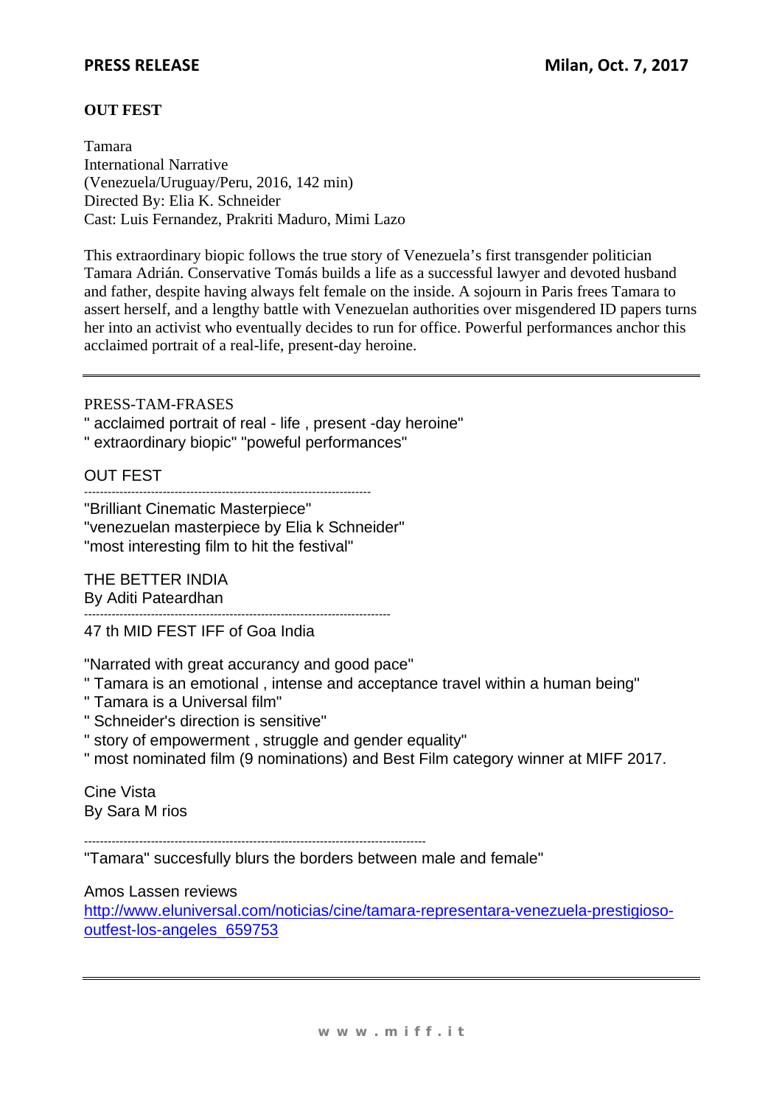## **PRESS RELEASE**

## **OUT FEST**

Tamara International Narrative (Venezuela/Uruguay/Peru, 2016, 142 min) Directed By: Elia K. Schneider Cast: Luis Fernandez, Prakriti Maduro, Mimi Lazo

This extraordinary biopic follows the true story of Venezuela's first transgender politician Tamara Adrián. Conservative Tomás builds a life as a successful lawyer and devoted husband and father, despite having always felt female on the inside. A sojourn in Paris frees Tamara to assert herself, and a lengthy battle with Venezuelan authorities over misgendered ID papers turns her into an activist who eventually decides to run for office. Powerful performances anchor this acclaimed portrait of a real-life, present-day heroine.

PRESS-TAM-FRASES

" acclaimed portrait of real - life , present -day heroine"

" extraordinary biopic" "poweful performances"

OUT FEST

-------------------------------------------------------------------------

"Brilliant Cinematic Masterpiece" "venezuelan masterpiece by Elia k Schneider" "most interesting film to hit the festival"

THE BETTER INDIA

By Aditi Pateardhan

------------------------------------------------------------------------------ 47 th MID FEST IFF of Goa India

"Narrated with great accurancy and good pace"

- " Tamara is an emotional , intense and acceptance travel within a human being"
- " Tamara is a Universal film"
- " Schneider's direction is sensitive"
- " story of empowerment , struggle and gender equality"
- " most nominated film (9 nominations) and Best Film category winner at MIFF 2017.

Cine Vista By Sara M rios

---------------------------------------------------------------------------------------

"Tamara" succesfully blurs the borders between male and female"

Amos Lassen reviews

http://www.eluniversal.com/noticias/cine/tamara-representara-venezuela-prestigiosooutfest-los-angeles\_659753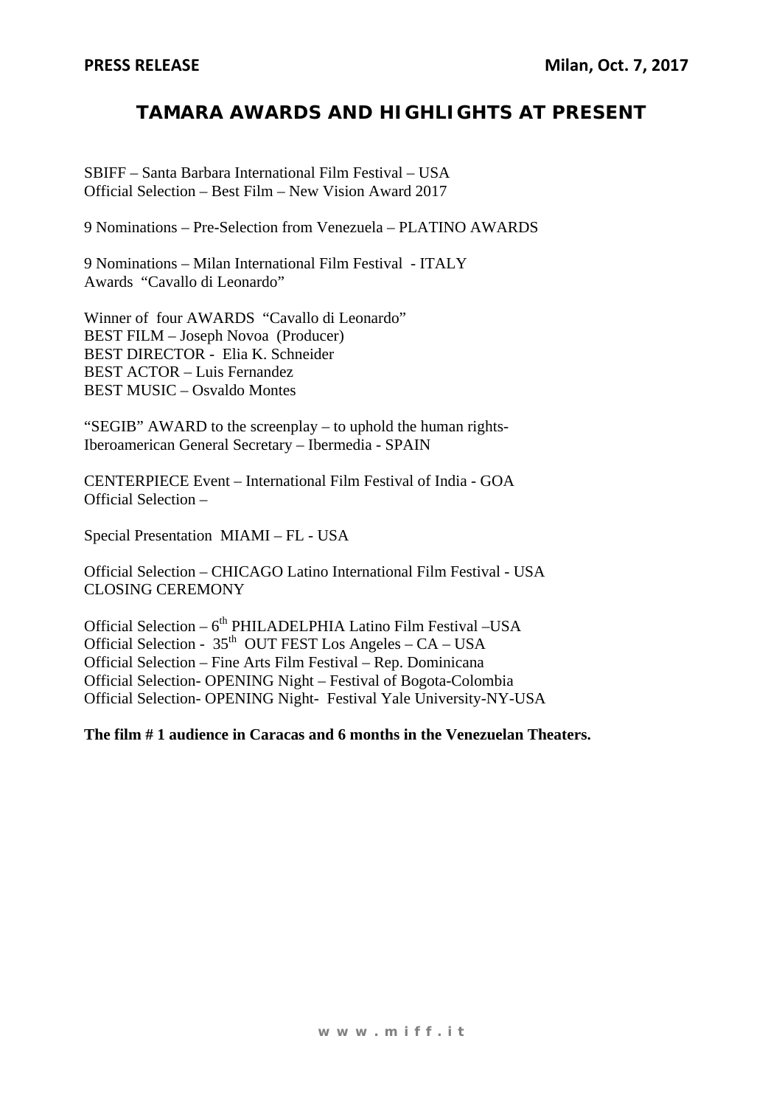# **TAMARA AWARDS AND HIGHLIGHTS AT PRESENT**

SBIFF – Santa Barbara International Film Festival – USA Official Selection – Best Film – New Vision Award 2017

9 Nominations – Pre-Selection from Venezuela – PLATINO AWARDS

9 Nominations – Milan International Film Festival - ITALY Awards "Cavallo di Leonardo"

Winner of four AWARDS "Cavallo di Leonardo" BEST FILM – Joseph Novoa (Producer) BEST DIRECTOR - Elia K. Schneider BEST ACTOR – Luis Fernandez BEST MUSIC – Osvaldo Montes

"SEGIB" AWARD to the screenplay – to uphold the human rights-Iberoamerican General Secretary – Ibermedia - SPAIN

CENTERPIECE Event – International Film Festival of India - GOA Official Selection –

Special Presentation MIAMI – FL - USA

Official Selection – CHICAGO Latino International Film Festival - USA CLOSING CEREMONY

Official Selection – 6<sup>th</sup> PHILADELPHIA Latino Film Festival – USA Official Selection -  $35<sup>th</sup>$  OUT FEST Los Angeles – CA – USA Official Selection – Fine Arts Film Festival – Rep. Dominicana Official Selection- OPENING Night – Festival of Bogota-Colombia Official Selection- OPENING Night- Festival Yale University-NY-USA

**The film # 1 audience in Caracas and 6 months in the Venezuelan Theaters.**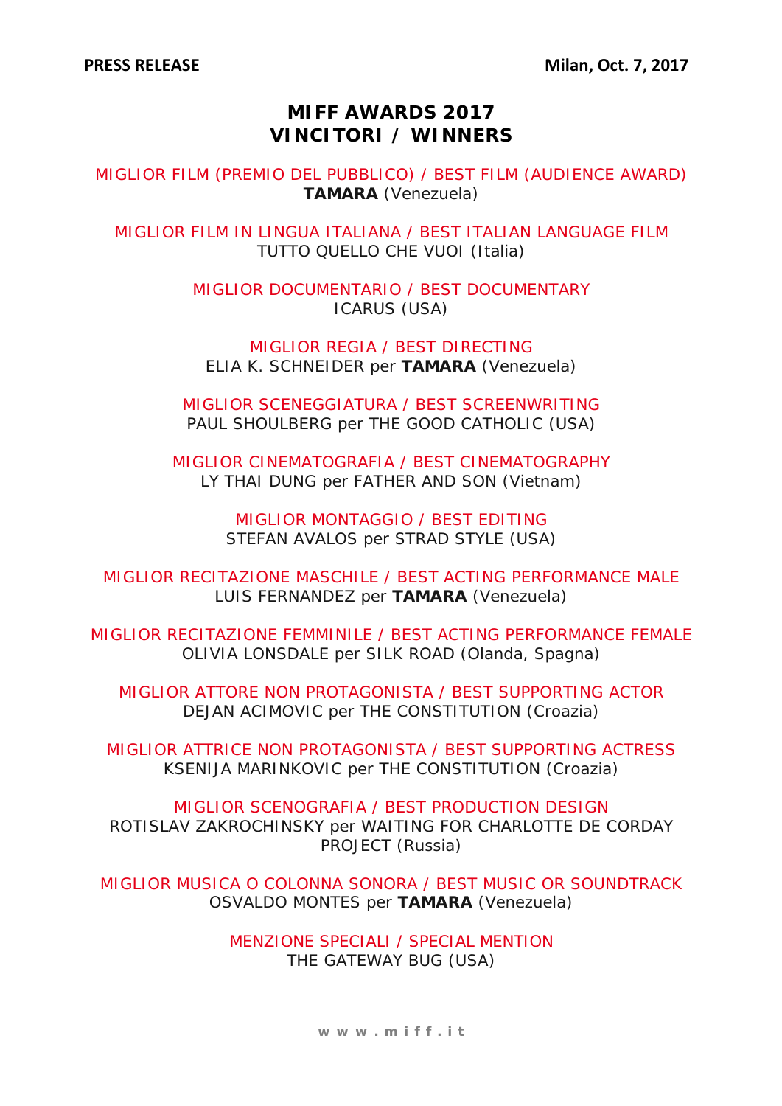# **MIFF AWARDS 2017 VINCITORI / WINNERS**

MIGLIOR FILM (PREMIO DEL PUBBLICO) / BEST FILM (AUDIENCE AWARD) **TAMARA** (Venezuela)

MIGLIOR FILM IN LINGUA ITALIANA / BEST ITALIAN LANGUAGE FILM TUTTO QUELLO CHE VUOI (Italia)

> MIGLIOR DOCUMENTARIO / BEST DOCUMENTARY ICARUS (USA)

MIGLIOR REGIA / BEST DIRECTING ELIA K. SCHNEIDER per **TAMARA** (Venezuela)

MIGLIOR SCENEGGIATURA / BEST SCREENWRITING PAUL SHOULBERG per THE GOOD CATHOLIC (USA)

MIGLIOR CINEMATOGRAFIA / BEST CINEMATOGRAPHY LY THAI DUNG per FATHER AND SON (Vietnam)

> MIGLIOR MONTAGGIO / BEST EDITING STEFAN AVALOS per STRAD STYLE (USA)

MIGLIOR RECITAZIONE MASCHILE / BEST ACTING PERFORMANCE MALE LUIS FERNANDEZ per **TAMARA** (Venezuela)

MIGLIOR RECITAZIONE FEMMINILE / BEST ACTING PERFORMANCE FEMALE OLIVIA LONSDALE per SILK ROAD (Olanda, Spagna)

MIGLIOR ATTORE NON PROTAGONISTA / BEST SUPPORTING ACTOR DEJAN ACIMOVIC per THE CONSTITUTION (Croazia)

MIGLIOR ATTRICE NON PROTAGONISTA / BEST SUPPORTING ACTRESS KSENIJA MARINKOVIC per THE CONSTITUTION (Croazia)

MIGLIOR SCENOGRAFIA / BEST PRODUCTION DESIGN ROTISLAV ZAKROCHINSKY per WAITING FOR CHARLOTTE DE CORDAY PROJECT (Russia)

MIGLIOR MUSICA O COLONNA SONORA / BEST MUSIC OR SOUNDTRACK OSVALDO MONTES per **TAMARA** (Venezuela)

> MENZIONE SPECIALI / SPECIAL MENTION THE GATEWAY BUG (USA)